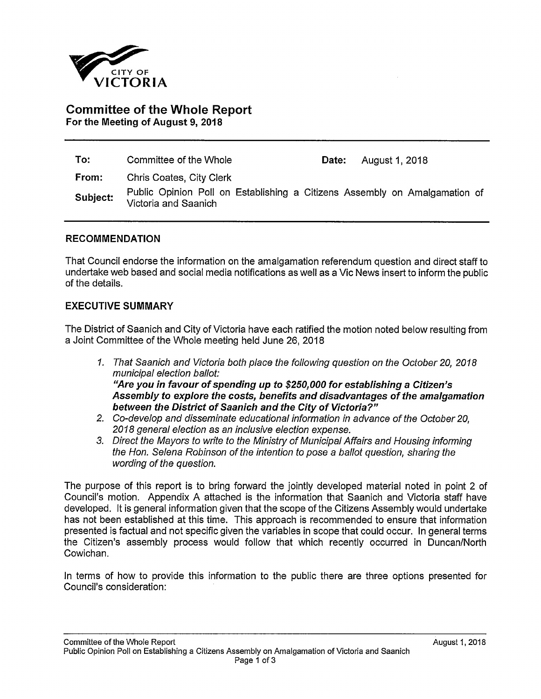

# **Committee of the Whole Report For the Meeting of August 9, 2018**

| To:      | Committee of the Whole                                                                             | Date: | August 1, 2018 |
|----------|----------------------------------------------------------------------------------------------------|-------|----------------|
| From:    | Chris Coates, City Clerk                                                                           |       |                |
| Subject: | Public Opinion Poll on Establishing a Citizens Assembly on Amalgamation of<br>Victoria and Saanich |       |                |

#### **RECOMMENDATION**

That Council endorse the information on the amalgamation referendum question and direct staff to undertake web based and social media notifications as well as a Vic News insert to inform the public of the details.

#### **EXECUTIVE SUMMARY**

The District of Saanich and City of Victoria have each ratified the motion noted below resulting from a Joint Committee of the Whole meeting held June 26, 2018

- *1. That Saanich and Victoria both place the following question on the October 20, 2018 municipal election ballot: "Are you in favour of spending up to \$250,000 for establishing a Citizen's Assembly to explore the costs, benefits and disadvantages of the amalgamation between the District of Saanich and the City of Victoria?"*
- *2. Co-develop and disseminate educational information in advance of the October 20, 2018 general election as an inclusive election expense.*
- *3. Direct the Mayors to write to the Ministry of Municipal Affairs and Housing informing the Hon. Selena Robinson of the intention to pose a ballot question, sharing the wording of the question.*

The purpose of this report is to bring forward the jointly developed material noted in point 2 of Council's motion. Appendix A attached is the information that Saanich and Victoria staff have developed. It is general information given that the scope of the Citizens Assembly would undertake has not been established at this time. This approach is recommended to ensure that information presented is factual and not specific given the variables in scope that could occur. In general terms the Citizen's assembly process would follow that which recently occurred in Duncan/North Cowichan.

In terms of how to provide this information to the public there are three options presented for Council's consideration: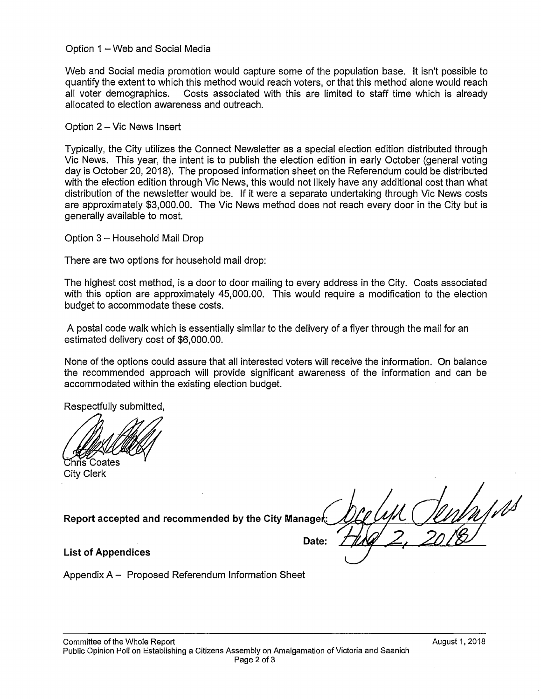Option 1 - Web and Social Media

Web and Social media promotion would capture some of the population base. It isn't possible to quantify the extent to which this method would reach voters, or that this method alone would reach all voter demographics. Costs associated with this are limited to staff time which is already allocated to election awareness and outreach.

Option 2 - Vic News Insert

Typically, the City utilizes the Connect Newsletter as a special election edition distributed through Vic News. This year, the intent is to publish the election edition in early October (general voting day is October 20, 2018). The proposed information sheet on the Referendum could be distributed with the election edition through Vic News, this would not likely have any additional cost than what distribution of the newsletter would be. If it were a separate undertaking through Vic News costs are approximately \$3,000.00. The Vic News method does not reach every door in the City but is generally available to most.

Option 3 - Household Mail Drop

There are two options for household mail drop:

The highest cost method, is a door to door mailing to every address in the City. Costs associated with this option are approximately 45,000.00. This would require a modification to the election budget to accommodate these costs.

A postal code walk which is essentially similar to the delivery of a flyer through the mail for an estimated delivery cost of \$6,000.00.

None of the options could assure that all interested voters will receive the information. On balance the recommended approach will provide significant awareness of the information and can be accommodated within the existing election budget.

Respectfully submitted,

Unris Coates City Clerk

**Report accepted and recommended by the City Managet:** 

Date:

**List of Appendices** 

Appendix A - Proposed Referendum Information Sheet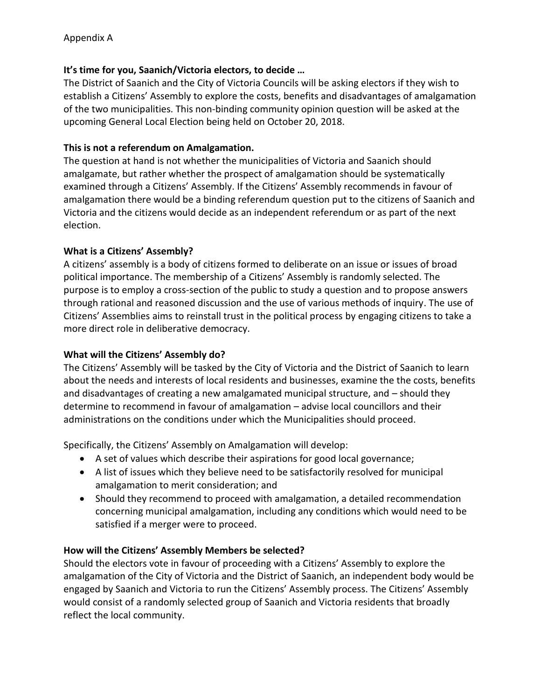## **It's time for you, Saanich/Victoria electors, to decide …**

The District of Saanich and the City of Victoria Councils will be asking electors if they wish to establish a Citizens' Assembly to explore the costs, benefits and disadvantages of amalgamation of the two municipalities. This non-binding community opinion question will be asked at the upcoming General Local Election being held on October 20, 2018.

## **This is not a referendum on Amalgamation.**

The question at hand is not whether the municipalities of Victoria and Saanich should amalgamate, but rather whether the prospect of amalgamation should be systematically examined through a Citizens' Assembly. If the Citizens' Assembly recommends in favour of amalgamation there would be a binding referendum question put to the citizens of Saanich and Victoria and the citizens would decide as an independent referendum or as part of the next election.

### **What is a Citizens' Assembly?**

A citizens' assembly is a body of citizens formed to deliberate on an issue or issues of broad political importance. The membership of a Citizens' Assembly is randomly selected. The purpose is to employ a cross-section of the public to study a question and to propose answers through rational and reasoned discussion and the use of various methods of inquiry. The use of Citizens' Assemblies aims to reinstall trust in the political process by engaging citizens to take a more direct role in deliberative democracy.

## **What will the Citizens' Assembly do?**

The Citizens' Assembly will be tasked by the City of Victoria and the District of Saanich to learn about the needs and interests of local residents and businesses, examine the the costs, benefits and disadvantages of creating a new amalgamated municipal structure, and – should they determine to recommend in favour of amalgamation – advise local councillors and their administrations on the conditions under which the Municipalities should proceed.

Specifically, the Citizens' Assembly on Amalgamation will develop:

- A set of values which describe their aspirations for good local governance;
- A list of issues which they believe need to be satisfactorily resolved for municipal amalgamation to merit consideration; and
- Should they recommend to proceed with amalgamation, a detailed recommendation concerning municipal amalgamation, including any conditions which would need to be satisfied if a merger were to proceed.

## **How will the Citizens' Assembly Members be selected?**

Should the electors vote in favour of proceeding with a Citizens' Assembly to explore the amalgamation of the City of Victoria and the District of Saanich, an independent body would be engaged by Saanich and Victoria to run the Citizens' Assembly process. The Citizens' Assembly would consist of a randomly selected group of Saanich and Victoria residents that broadly reflect the local community.